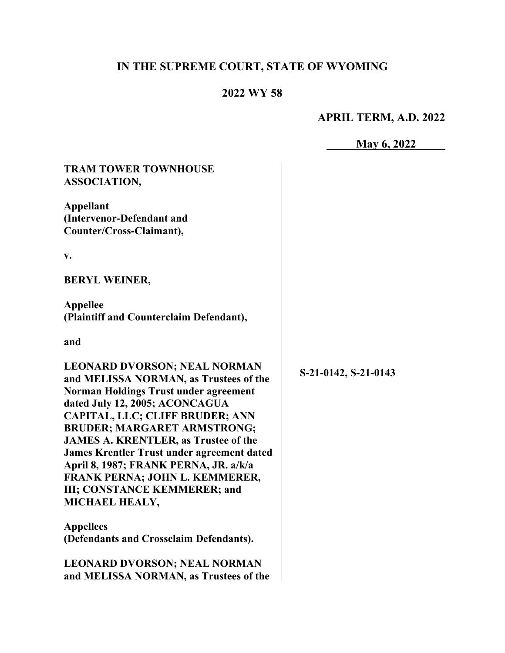# **IN THE SUPREME COURT, STATE OF WYOMING**

# **2022 WY 58**

# **APRIL TERM, A.D. 2022**

**May 6, 2022** 

| <b>TRAM TOWER TOWNHOUSE</b><br>ASSOCIATION,                                                                                                                                                                                                                                                                                                                                                                                                                               |                      |
|---------------------------------------------------------------------------------------------------------------------------------------------------------------------------------------------------------------------------------------------------------------------------------------------------------------------------------------------------------------------------------------------------------------------------------------------------------------------------|----------------------|
| <b>Appellant</b><br>(Intervenor-Defendant and<br>Counter/Cross-Claimant),                                                                                                                                                                                                                                                                                                                                                                                                 |                      |
| V.                                                                                                                                                                                                                                                                                                                                                                                                                                                                        |                      |
| <b>BERYL WEINER,</b>                                                                                                                                                                                                                                                                                                                                                                                                                                                      |                      |
| <b>Appellee</b><br>(Plaintiff and Counterclaim Defendant),                                                                                                                                                                                                                                                                                                                                                                                                                |                      |
| and                                                                                                                                                                                                                                                                                                                                                                                                                                                                       |                      |
| LEONARD DVORSON; NEAL NORMAN<br>and MELISSA NORMAN, as Trustees of the<br><b>Norman Holdings Trust under agreement</b><br>dated July 12, 2005; ACONCAGUA<br>CAPITAL, LLC; CLIFF BRUDER; ANN<br><b>BRUDER; MARGARET ARMSTRONG;</b><br><b>JAMES A. KRENTLER, as Trustee of the</b><br><b>James Krentler Trust under agreement dated</b><br>April 8, 1987; FRANK PERNA, JR. a/k/a<br>FRANK PERNA; JOHN L. KEMMERER,<br><b>III; CONSTANCE KEMMERER; and</b><br>MICHAEL HEALY, | S-21-0142, S-21-0143 |
| <b>Appellees</b><br>(Defendants and Crossclaim Defendants).                                                                                                                                                                                                                                                                                                                                                                                                               |                      |
| <b>LEONARD DVORSON; NEAL NORMAN</b><br>and MELISSA NORMAN, as Trustees of the                                                                                                                                                                                                                                                                                                                                                                                             |                      |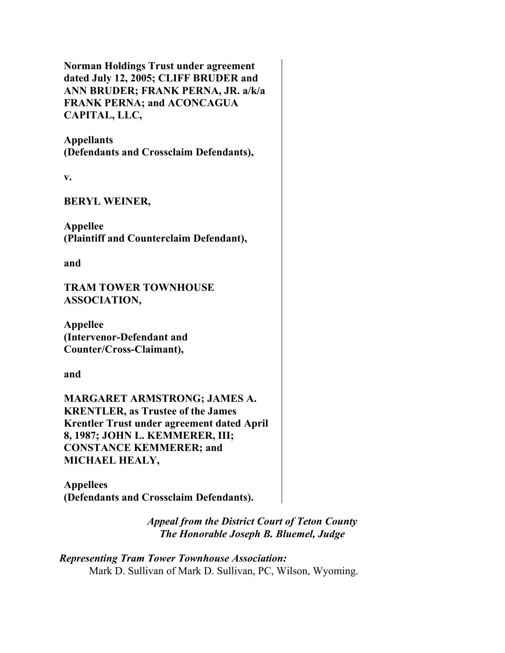**Norman Holdings Trust under agreement dated July 12, 2005; CLIFF BRUDER and ANN BRUDER; FRANK PERNA, JR. a/k/a FRANK PERNA; and ACONCAGUA CAPITAL, LLC,**

**Appellants (Defendants and Crossclaim Defendants),**

**v.**

**BERYL WEINER,**

**Appellee (Plaintiff and Counterclaim Defendant),**

**and**

**TRAM TOWER TOWNHOUSE ASSOCIATION,**

**Appellee (Intervenor-Defendant and Counter/Cross-Claimant),**

**and**

**MARGARET ARMSTRONG; JAMES A. KRENTLER, as Trustee of the James Krentler Trust under agreement dated April 8, 1987; JOHN L. KEMMERER, III; CONSTANCE KEMMERER; and MICHAEL HEALY,**

**Appellees (Defendants and Crossclaim Defendants).**

> *Appeal from the District Court of Teton County The Honorable Joseph B. Bluemel, Judge*

*Representing Tram Tower Townhouse Association:* Mark D. Sullivan of Mark D. Sullivan, PC, Wilson, Wyoming.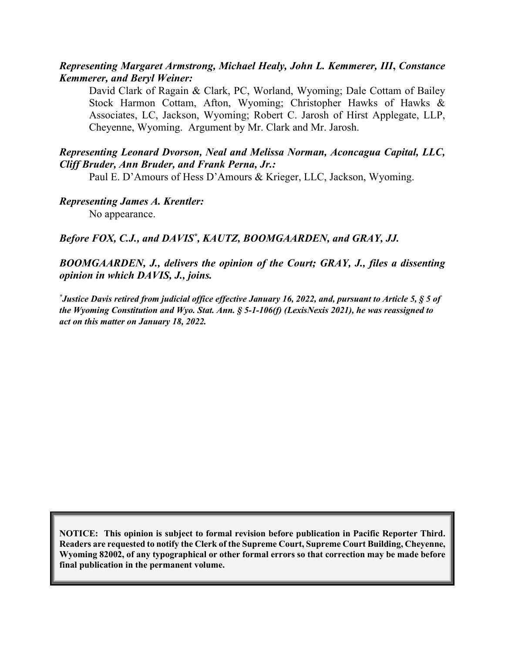#### *Representing Margaret Armstrong, Michael Healy, John L. Kemmerer, III***,** *Constance Kemmerer, and Beryl Weiner:*

David Clark of Ragain & Clark, PC, Worland, Wyoming; Dale Cottam of Bailey Stock Harmon Cottam, Afton, Wyoming; Christopher Hawks of Hawks & Associates, LC, Jackson, Wyoming; Robert C. Jarosh of Hirst Applegate, LLP, Cheyenne, Wyoming. Argument by Mr. Clark and Mr. Jarosh.

#### *Representing Leonard Dvorson, Neal and Melissa Norman, Aconcagua Capital, LLC, Cliff Bruder, Ann Bruder, and Frank Perna, Jr.:*

Paul E. D'Amours of Hess D'Amours & Krieger, LLC, Jackson, Wyoming.

*Representing James A. Krentler:*  No appearance.

#### Before FOX, C.J., and DAVIS<sup>\*</sup>, KAUTZ, BOOMGAARDEN, and GRAY, JJ.

#### *BOOMGAARDEN, J., delivers the opinion of the Court; GRAY, J., files a dissenting opinion in which DAVIS, J., joins.*

*\* Justice Davis retired from judicial office effective January 16, 2022, and, pursuant to Article 5, § 5 of the Wyoming Constitution and Wyo. Stat. Ann. § 5-1-106(f) (LexisNexis 2021), he was reassigned to act on this matter on January 18, 2022.*

**NOTICE: This opinion is subject to formal revision before publication in Pacific Reporter Third. Readers are requested to notify the Clerk of the Supreme Court, Supreme Court Building, Cheyenne, Wyoming 82002, of any typographical or other formal errors so that correction may be made before final publication in the permanent volume.**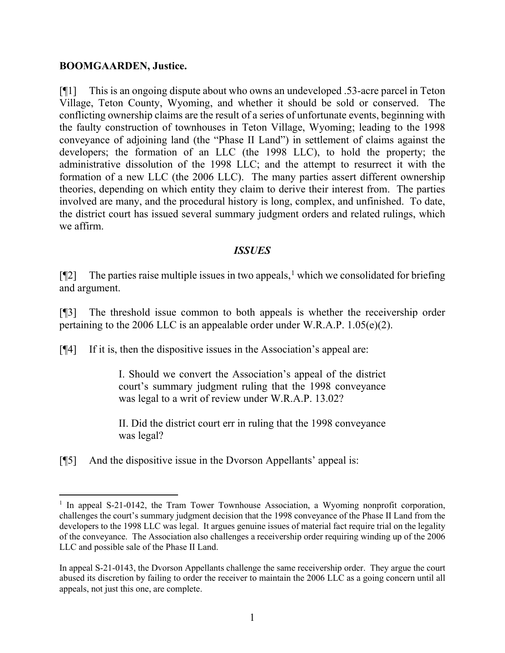#### **BOOMGAARDEN, Justice.**

[¶1] This is an ongoing dispute about who owns an undeveloped .53-acre parcel in Teton Village, Teton County, Wyoming, and whether it should be sold or conserved. The conflicting ownership claims are the result of a series of unfortunate events, beginning with the faulty construction of townhouses in Teton Village, Wyoming; leading to the 1998 conveyance of adjoining land (the "Phase II Land") in settlement of claims against the developers; the formation of an LLC (the 1998 LLC), to hold the property; the administrative dissolution of the 1998 LLC; and the attempt to resurrect it with the formation of a new LLC (the 2006 LLC). The many parties assert different ownership theories, depending on which entity they claim to derive their interest from. The parties involved are many, and the procedural history is long, complex, and unfinished. To date, the district court has issued several summary judgment orders and related rulings, which we affirm.

#### *ISSUES*

 $[$ [2] The parties raise multiple issues in two appeals,<sup>[1](#page-3-0)</sup> which we consolidated for briefing and argument.

[¶3] The threshold issue common to both appeals is whether the receivership order pertaining to the 2006 LLC is an appealable order under W.R.A.P. 1.05(e)(2).

[¶4] If it is, then the dispositive issues in the Association's appeal are:

I. Should we convert the Association's appeal of the district court's summary judgment ruling that the 1998 conveyance was legal to a writ of review under W.R.A.P. 13.02?

II. Did the district court err in ruling that the 1998 conveyance was legal?

[¶5] And the dispositive issue in the Dvorson Appellants' appeal is:

<span id="page-3-0"></span><sup>&</sup>lt;sup>1</sup> In appeal S-21-0142, the Tram Tower Townhouse Association, a Wyoming nonprofit corporation, challenges the court's summary judgment decision that the 1998 conveyance of the Phase II Land from the developers to the 1998 LLC was legal. It argues genuine issues of material fact require trial on the legality of the conveyance. The Association also challenges a receivership order requiring winding up of the 2006 LLC and possible sale of the Phase II Land.

In appeal S-21-0143, the Dvorson Appellants challenge the same receivership order. They argue the court abused its discretion by failing to order the receiver to maintain the 2006 LLC as a going concern until all appeals, not just this one, are complete.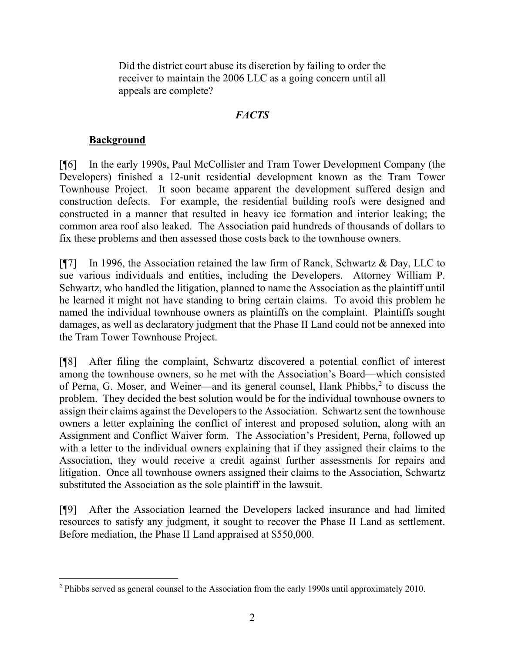Did the district court abuse its discretion by failing to order the receiver to maintain the 2006 LLC as a going concern until all appeals are complete?

## *FACTS*

## **Background**

[¶6] In the early 1990s, Paul McCollister and Tram Tower Development Company (the Developers) finished a 12-unit residential development known as the Tram Tower Townhouse Project. It soon became apparent the development suffered design and construction defects. For example, the residential building roofs were designed and constructed in a manner that resulted in heavy ice formation and interior leaking; the common area roof also leaked. The Association paid hundreds of thousands of dollars to fix these problems and then assessed those costs back to the townhouse owners.

[¶7] In 1996, the Association retained the law firm of Ranck, Schwartz & Day, LLC to sue various individuals and entities, including the Developers. Attorney William P. Schwartz, who handled the litigation, planned to name the Association as the plaintiff until he learned it might not have standing to bring certain claims. To avoid this problem he named the individual townhouse owners as plaintiffs on the complaint. Plaintiffs sought damages, as well as declaratory judgment that the Phase II Land could not be annexed into the Tram Tower Townhouse Project.

[¶8] After filing the complaint, Schwartz discovered a potential conflict of interest among the townhouse owners, so he met with the Association's Board—which consisted of Perna, G. Moser, and Weiner—and its general counsel, Hank Phibbs, [2](#page-4-0) to discuss the problem. They decided the best solution would be for the individual townhouse owners to assign their claims against the Developers to the Association. Schwartz sent the townhouse owners a letter explaining the conflict of interest and proposed solution, along with an Assignment and Conflict Waiver form. The Association's President, Perna, followed up with a letter to the individual owners explaining that if they assigned their claims to the Association, they would receive a credit against further assessments for repairs and litigation. Once all townhouse owners assigned their claims to the Association, Schwartz substituted the Association as the sole plaintiff in the lawsuit.

[¶9] After the Association learned the Developers lacked insurance and had limited resources to satisfy any judgment, it sought to recover the Phase II Land as settlement. Before mediation, the Phase II Land appraised at \$550,000.

<span id="page-4-0"></span> $2$  Phibbs served as general counsel to the Association from the early 1990s until approximately 2010.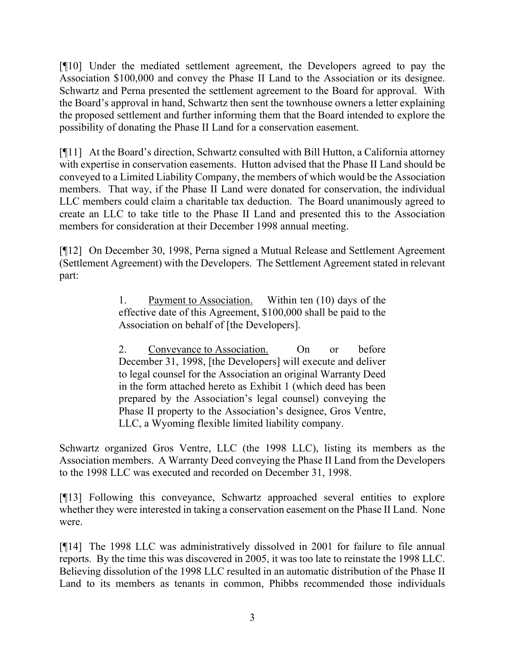[¶10] Under the mediated settlement agreement, the Developers agreed to pay the Association \$100,000 and convey the Phase II Land to the Association or its designee. Schwartz and Perna presented the settlement agreement to the Board for approval. With the Board's approval in hand, Schwartz then sent the townhouse owners a letter explaining the proposed settlement and further informing them that the Board intended to explore the possibility of donating the Phase II Land for a conservation easement.

[¶11] At the Board's direction, Schwartz consulted with Bill Hutton, a California attorney with expertise in conservation easements. Hutton advised that the Phase II Land should be conveyed to a Limited Liability Company, the members of which would be the Association members. That way, if the Phase II Land were donated for conservation, the individual LLC members could claim a charitable tax deduction. The Board unanimously agreed to create an LLC to take title to the Phase II Land and presented this to the Association members for consideration at their December 1998 annual meeting.

[¶12] On December 30, 1998, Perna signed a Mutual Release and Settlement Agreement (Settlement Agreement) with the Developers. The Settlement Agreement stated in relevant part:

> 1. Payment to Association. Within ten (10) days of the effective date of this Agreement, \$100,000 shall be paid to the Association on behalf of [the Developers].

> 2. Conveyance to Association. On or before December 31, 1998, [the Developers] will execute and deliver to legal counsel for the Association an original Warranty Deed in the form attached hereto as Exhibit 1 (which deed has been prepared by the Association's legal counsel) conveying the Phase II property to the Association's designee, Gros Ventre, LLC, a Wyoming flexible limited liability company.

Schwartz organized Gros Ventre, LLC (the 1998 LLC), listing its members as the Association members. A Warranty Deed conveying the Phase II Land from the Developers to the 1998 LLC was executed and recorded on December 31, 1998.

[¶13] Following this conveyance, Schwartz approached several entities to explore whether they were interested in taking a conservation easement on the Phase II Land. None were.

[¶14] The 1998 LLC was administratively dissolved in 2001 for failure to file annual reports. By the time this was discovered in 2005, it was too late to reinstate the 1998 LLC. Believing dissolution of the 1998 LLC resulted in an automatic distribution of the Phase II Land to its members as tenants in common, Phibbs recommended those individuals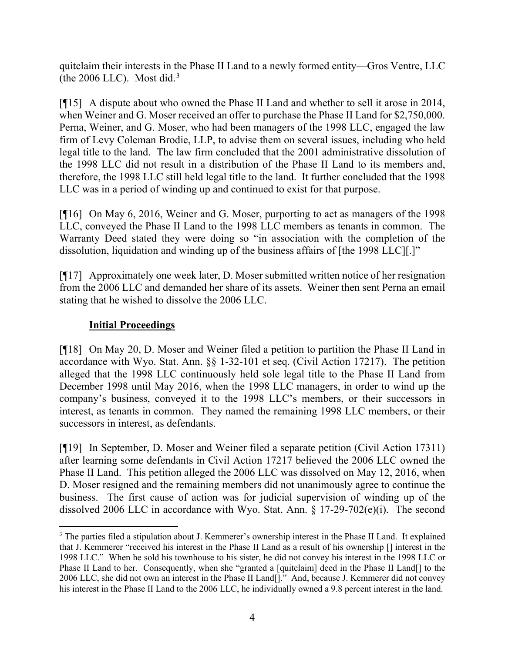quitclaim their interests in the Phase II Land to a newly formed entity—Gros Ventre, LLC (the 2006 LLC). Most did.<sup>[3](#page-6-0)</sup>

[¶15] A dispute about who owned the Phase II Land and whether to sell it arose in 2014, when Weiner and G. Moser received an offer to purchase the Phase II Land for \$2,750,000. Perna, Weiner, and G. Moser, who had been managers of the 1998 LLC, engaged the law firm of Levy Coleman Brodie, LLP, to advise them on several issues, including who held legal title to the land. The law firm concluded that the 2001 administrative dissolution of the 1998 LLC did not result in a distribution of the Phase II Land to its members and, therefore, the 1998 LLC still held legal title to the land. It further concluded that the 1998 LLC was in a period of winding up and continued to exist for that purpose.

[¶16] On May 6, 2016, Weiner and G. Moser, purporting to act as managers of the 1998 LLC, conveyed the Phase II Land to the 1998 LLC members as tenants in common. The Warranty Deed stated they were doing so "in association with the completion of the dissolution, liquidation and winding up of the business affairs of [the 1998 LLC][.]"

[¶17] Approximately one week later, D. Moser submitted written notice of her resignation from the 2006 LLC and demanded her share of its assets. Weiner then sent Perna an email stating that he wished to dissolve the 2006 LLC.

# **Initial Proceedings**

[¶18] On May 20, D. Moser and Weiner filed a petition to partition the Phase II Land in accordance with Wyo. Stat. Ann. §§ 1-32-101 et seq. (Civil Action 17217). The petition alleged that the 1998 LLC continuously held sole legal title to the Phase II Land from December 1998 until May 2016, when the 1998 LLC managers, in order to wind up the company's business, conveyed it to the 1998 LLC's members, or their successors in interest, as tenants in common. They named the remaining 1998 LLC members, or their successors in interest, as defendants.

[¶19] In September, D. Moser and Weiner filed a separate petition (Civil Action 17311) after learning some defendants in Civil Action 17217 believed the 2006 LLC owned the Phase II Land. This petition alleged the 2006 LLC was dissolved on May 12, 2016, when D. Moser resigned and the remaining members did not unanimously agree to continue the business. The first cause of action was for judicial supervision of winding up of the dissolved 2006 LLC in accordance with Wyo. Stat. Ann. § 17-29-702(e)(i). The second

<span id="page-6-0"></span><sup>&</sup>lt;sup>3</sup> The parties filed a stipulation about J. Kemmerer's ownership interest in the Phase II Land. It explained that J. Kemmerer "received his interest in the Phase II Land as a result of his ownership [] interest in the 1998 LLC." When he sold his townhouse to his sister, he did not convey his interest in the 1998 LLC or Phase II Land to her. Consequently, when she "granted a [quitclaim] deed in the Phase II Land[] to the 2006 LLC, she did not own an interest in the Phase II Land[]." And, because J. Kemmerer did not convey his interest in the Phase II Land to the 2006 LLC, he individually owned a 9.8 percent interest in the land.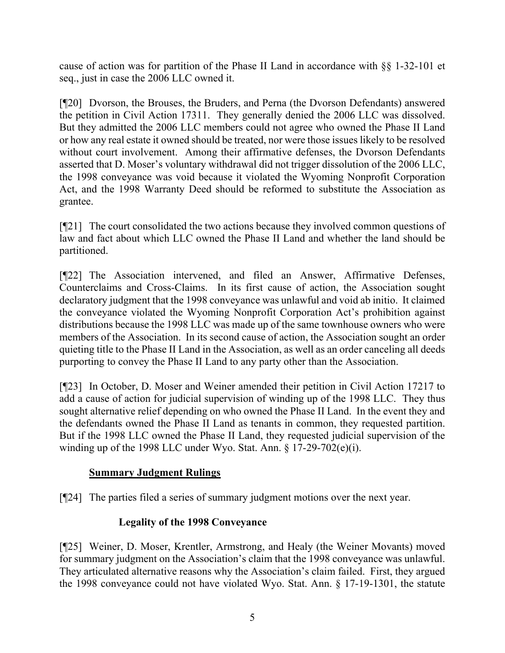cause of action was for partition of the Phase II Land in accordance with §§ 1-32-101 et seq., just in case the 2006 LLC owned it.

[¶20] Dvorson, the Brouses, the Bruders, and Perna (the Dvorson Defendants) answered the petition in Civil Action 17311. They generally denied the 2006 LLC was dissolved. But they admitted the 2006 LLC members could not agree who owned the Phase II Land or how any real estate it owned should be treated, nor were those issues likely to be resolved without court involvement. Among their affirmative defenses, the Dvorson Defendants asserted that D. Moser's voluntary withdrawal did not trigger dissolution of the 2006 LLC, the 1998 conveyance was void because it violated the Wyoming Nonprofit Corporation Act, and the 1998 Warranty Deed should be reformed to substitute the Association as grantee.

[¶21] The court consolidated the two actions because they involved common questions of law and fact about which LLC owned the Phase II Land and whether the land should be partitioned.

[¶22] The Association intervened, and filed an Answer, Affirmative Defenses, Counterclaims and Cross-Claims. In its first cause of action, the Association sought declaratory judgment that the 1998 conveyance was unlawful and void ab initio. It claimed the conveyance violated the Wyoming Nonprofit Corporation Act's prohibition against distributions because the 1998 LLC was made up of the same townhouse owners who were members of the Association. In its second cause of action, the Association sought an order quieting title to the Phase II Land in the Association, as well as an order canceling all deeds purporting to convey the Phase II Land to any party other than the Association.

[¶23] In October, D. Moser and Weiner amended their petition in Civil Action 17217 to add a cause of action for judicial supervision of winding up of the 1998 LLC. They thus sought alternative relief depending on who owned the Phase II Land. In the event they and the defendants owned the Phase II Land as tenants in common, they requested partition. But if the 1998 LLC owned the Phase II Land, they requested judicial supervision of the winding up of the 1998 LLC under Wyo. Stat. Ann. § 17-29-702(e)(i).

# **Summary Judgment Rulings**

[¶24] The parties filed a series of summary judgment motions over the next year.

# **Legality of the 1998 Conveyance**

[¶25] Weiner, D. Moser, Krentler, Armstrong, and Healy (the Weiner Movants) moved for summary judgment on the Association's claim that the 1998 conveyance was unlawful. They articulated alternative reasons why the Association's claim failed. First, they argued the 1998 conveyance could not have violated Wyo. Stat. Ann. § 17-19-1301, the statute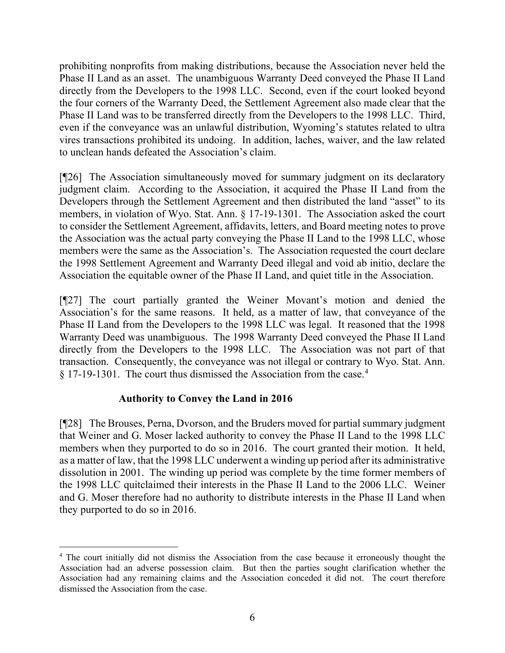prohibiting nonprofits from making distributions, because the Association never held the Phase II Land as an asset. The unambiguous Warranty Deed conveyed the Phase II Land directly from the Developers to the 1998 LLC. Second, even if the court looked beyond the four corners of the Warranty Deed, the Settlement Agreement also made clear that the Phase II Land was to be transferred directly from the Developers to the 1998 LLC. Third, even if the conveyance was an unlawful distribution, Wyoming's statutes related to ultra vires transactions prohibited its undoing. In addition, laches, waiver, and the law related to unclean hands defeated the Association's claim.

[¶26] The Association simultaneously moved for summary judgment on its declaratory judgment claim. According to the Association, it acquired the Phase II Land from the Developers through the Settlement Agreement and then distributed the land "asset" to its members, in violation of Wyo. Stat. Ann. § 17-19-1301. The Association asked the court to consider the Settlement Agreement, affidavits, letters, and Board meeting notes to prove the Association was the actual party conveying the Phase II Land to the 1998 LLC, whose members were the same as the Association's. The Association requested the court declare the 1998 Settlement Agreement and Warranty Deed illegal and void ab initio, declare the Association the equitable owner of the Phase II Land, and quiet title in the Association.

[¶27] The court partially granted the Weiner Movant's motion and denied the Association's for the same reasons. It held, as a matter of law, that conveyance of the Phase II Land from the Developers to the 1998 LLC was legal. It reasoned that the 1998 Warranty Deed was unambiguous. The 1998 Warranty Deed conveyed the Phase II Land directly from the Developers to the 1998 LLC. The Association was not part of that transaction. Consequently, the conveyance was not illegal or contrary to Wyo. Stat. Ann. § 17-19-1301. The court thus dismissed the Association from the case.[4](#page-8-0)

#### **Authority to Convey the Land in 2016**

[¶28] The Brouses, Perna, Dvorson, and the Bruders moved for partial summary judgment that Weiner and G. Moser lacked authority to convey the Phase II Land to the 1998 LLC members when they purported to do so in 2016. The court granted their motion. It held, as a matter of law, that the 1998 LLC underwent a winding up period after its administrative dissolution in 2001. The winding up period was complete by the time former members of the 1998 LLC quitclaimed their interests in the Phase II Land to the 2006 LLC. Weiner and G. Moser therefore had no authority to distribute interests in the Phase II Land when they purported to do so in 2016.

<span id="page-8-0"></span><sup>4</sup> The court initially did not dismiss the Association from the case because it erroneously thought the Association had an adverse possession claim. But then the parties sought clarification whether the Association had any remaining claims and the Association conceded it did not. The court therefore dismissed the Association from the case.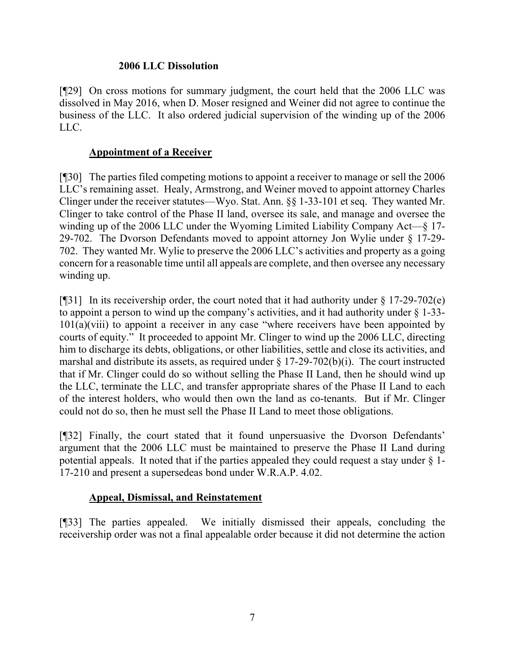#### **2006 LLC Dissolution**

[¶29] On cross motions for summary judgment, the court held that the 2006 LLC was dissolved in May 2016, when D. Moser resigned and Weiner did not agree to continue the business of the LLC. It also ordered judicial supervision of the winding up of the 2006 LLC.

## **Appointment of a Receiver**

[¶30] The parties filed competing motions to appoint a receiver to manage or sell the 2006 LLC's remaining asset. Healy, Armstrong, and Weiner moved to appoint attorney Charles Clinger under the receiver statutes—Wyo. Stat. Ann. §§ 1-33-101 et seq. They wanted Mr. Clinger to take control of the Phase II land, oversee its sale, and manage and oversee the winding up of the 2006 LLC under the Wyoming Limited Liability Company Act—§ 17- 29-702. The Dvorson Defendants moved to appoint attorney Jon Wylie under § 17-29- 702. They wanted Mr. Wylie to preserve the 2006 LLC's activities and property as a going concern for a reasonable time until all appeals are complete, and then oversee any necessary winding up.

[ $[$ ][31] In its receivership order, the court noted that it had authority under  $\S 17$ -29-702(e) to appoint a person to wind up the company's activities, and it had authority under § 1-33-  $101(a)(viii)$  to appoint a receiver in any case "where receivers have been appointed by courts of equity." It proceeded to appoint Mr. Clinger to wind up the 2006 LLC, directing him to discharge its debts, obligations, or other liabilities, settle and close its activities, and marshal and distribute its assets, as required under  $\S 17-29-702(b)(i)$ . The court instructed that if Mr. Clinger could do so without selling the Phase II Land, then he should wind up the LLC, terminate the LLC, and transfer appropriate shares of the Phase II Land to each of the interest holders, who would then own the land as co-tenants. But if Mr. Clinger could not do so, then he must sell the Phase II Land to meet those obligations.

[¶32] Finally, the court stated that it found unpersuasive the Dvorson Defendants' argument that the 2006 LLC must be maintained to preserve the Phase II Land during potential appeals. It noted that if the parties appealed they could request a stay under  $\S$  1-17-210 and present a supersedeas bond under W.R.A.P. 4.02.

#### **Appeal, Dismissal, and Reinstatement**

[¶33] The parties appealed. We initially dismissed their appeals, concluding the receivership order was not a final appealable order because it did not determine the action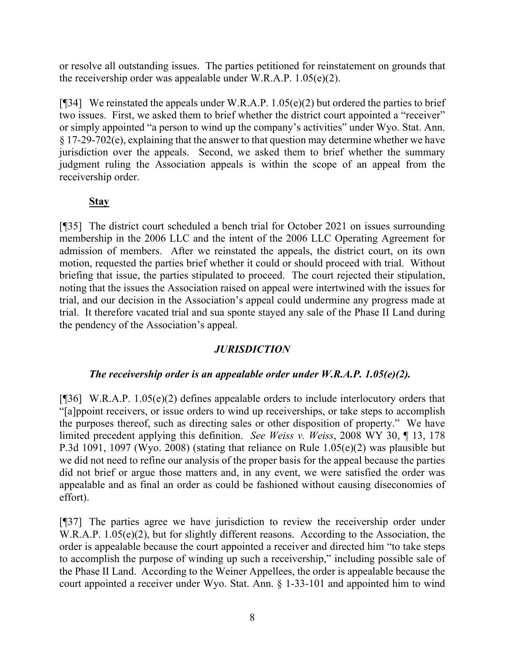or resolve all outstanding issues. The parties petitioned for reinstatement on grounds that the receivership order was appealable under W.R.A.P. 1.05(e)(2).

[ $[$ ][34] We reinstated the appeals under W.R.A.P. 1.05(e)(2) but ordered the parties to brief two issues. First, we asked them to brief whether the district court appointed a "receiver" or simply appointed "a person to wind up the company's activities" under Wyo. Stat. Ann. § 17-29-702(e), explaining that the answer to that question may determine whether we have jurisdiction over the appeals. Second, we asked them to brief whether the summary judgment ruling the Association appeals is within the scope of an appeal from the receivership order.

# **Stay**

[¶35] The district court scheduled a bench trial for October 2021 on issues surrounding membership in the 2006 LLC and the intent of the 2006 LLC Operating Agreement for admission of members. After we reinstated the appeals, the district court, on its own motion, requested the parties brief whether it could or should proceed with trial. Without briefing that issue, the parties stipulated to proceed. The court rejected their stipulation, noting that the issues the Association raised on appeal were intertwined with the issues for trial, and our decision in the Association's appeal could undermine any progress made at trial. It therefore vacated trial and sua sponte stayed any sale of the Phase II Land during the pendency of the Association's appeal.

# *JURISDICTION*

#### *The receivership order is an appealable order under W.R.A.P. 1.05(e)(2).*

[¶36] W.R.A.P. 1.05(e)(2) defines appealable orders to include interlocutory orders that "[a]ppoint receivers, or issue orders to wind up receiverships, or take steps to accomplish the purposes thereof, such as directing sales or other disposition of property." We have limited precedent applying this definition. *See Weiss v. Weiss*, 2008 WY 30, ¶ 13, 178 P.3d 1091, 1097 (Wyo. 2008) (stating that reliance on Rule 1.05(e)(2) was plausible but we did not need to refine our analysis of the proper basis for the appeal because the parties did not brief or argue those matters and, in any event, we were satisfied the order was appealable and as final an order as could be fashioned without causing diseconomies of effort).

[¶37] The parties agree we have jurisdiction to review the receivership order under W.R.A.P. 1.05(e)(2), but for slightly different reasons. According to the Association, the order is appealable because the court appointed a receiver and directed him "to take steps to accomplish the purpose of winding up such a receivership," including possible sale of the Phase II Land. According to the Weiner Appellees, the order is appealable because the court appointed a receiver under Wyo. Stat. Ann. § 1-33-101 and appointed him to wind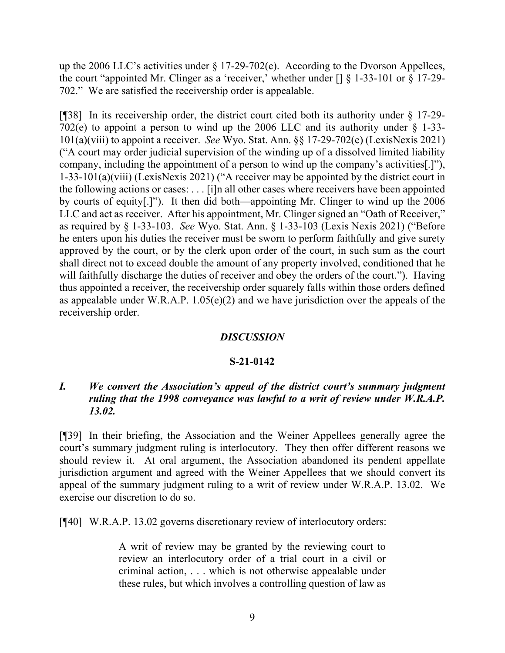up the 2006 LLC's activities under § 17-29-702(e). According to the Dvorson Appellees, the court "appointed Mr. Clinger as a 'receiver,' whether under [] § 1-33-101 or § 17-29- 702." We are satisfied the receivership order is appealable.

[¶38] In its receivership order, the district court cited both its authority under § 17-29- 702(e) to appoint a person to wind up the 2006 LLC and its authority under  $\S$  1-33-101(a)(viii) to appoint a receiver. *See* Wyo. Stat. Ann. §§ 17-29-702(e) (LexisNexis 2021) ("A court may order judicial supervision of the winding up of a dissolved limited liability company, including the appointment of a person to wind up the company's activities[.]"), 1-33-101(a)(viii) (LexisNexis 2021) ("A receiver may be appointed by the district court in the following actions or cases: . . . [i]n all other cases where receivers have been appointed by courts of equity[.]"). It then did both—appointing Mr. Clinger to wind up the 2006 LLC and act as receiver. After his appointment, Mr. Clinger signed an "Oath of Receiver," as required by § 1-33-103. *See* Wyo. Stat. Ann. § 1-33-103 (Lexis Nexis 2021) ("Before he enters upon his duties the receiver must be sworn to perform faithfully and give surety approved by the court, or by the clerk upon order of the court, in such sum as the court shall direct not to exceed double the amount of any property involved, conditioned that he will faithfully discharge the duties of receiver and obey the orders of the court."). Having thus appointed a receiver, the receivership order squarely falls within those orders defined as appealable under W.R.A.P.  $1.05(e)(2)$  and we have jurisdiction over the appeals of the receivership order.

#### *DISCUSSION*

#### **S-21-0142**

## *I. We convert the Association's appeal of the district court's summary judgment ruling that the 1998 conveyance was lawful to a writ of review under W.R.A.P. 13.02.*

[¶39] In their briefing, the Association and the Weiner Appellees generally agree the court's summary judgment ruling is interlocutory. They then offer different reasons we should review it. At oral argument, the Association abandoned its pendent appellate jurisdiction argument and agreed with the Weiner Appellees that we should convert its appeal of the summary judgment ruling to a writ of review under W.R.A.P. 13.02. We exercise our discretion to do so.

[¶40] W.R.A.P. 13.02 governs discretionary review of interlocutory orders:

A writ of review may be granted by the reviewing court to review an interlocutory order of a trial court in a civil or criminal action, . . . which is not otherwise appealable under these rules, but which involves a controlling question of law as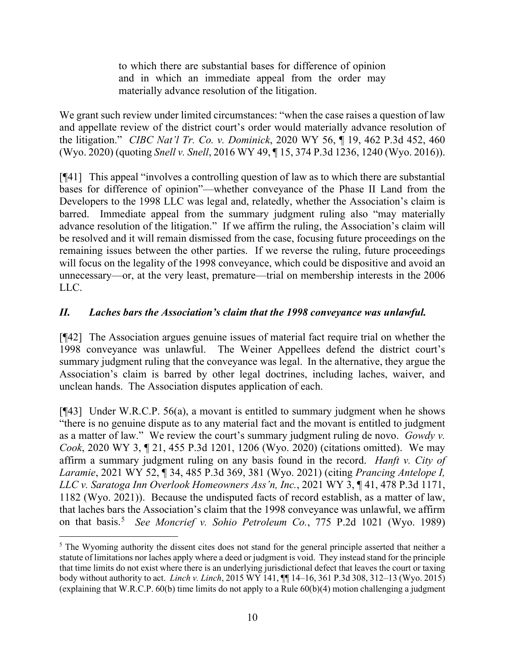to which there are substantial bases for difference of opinion and in which an immediate appeal from the order may materially advance resolution of the litigation.

We grant such review under limited circumstances: "when the case raises a question of law and appellate review of the district court's order would materially advance resolution of the litigation." *CIBC Nat'l Tr. Co. v. Dominick*, 2020 WY 56, ¶ 19, 462 P.3d 452, 460 (Wyo. 2020) (quoting *Snell v. Snell*, 2016 WY 49, ¶ 15, 374 P.3d 1236, 1240 (Wyo. 2016)).

[¶41] This appeal "involves a controlling question of law as to which there are substantial bases for difference of opinion"—whether conveyance of the Phase II Land from the Developers to the 1998 LLC was legal and, relatedly, whether the Association's claim is barred. Immediate appeal from the summary judgment ruling also "may materially advance resolution of the litigation." If we affirm the ruling, the Association's claim will be resolved and it will remain dismissed from the case, focusing future proceedings on the remaining issues between the other parties. If we reverse the ruling, future proceedings will focus on the legality of the 1998 conveyance, which could be dispositive and avoid an unnecessary—or, at the very least, premature—trial on membership interests in the 2006 LLC.

## *II. Laches bars the Association's claim that the 1998 conveyance was unlawful.*

[¶42] The Association argues genuine issues of material fact require trial on whether the 1998 conveyance was unlawful. The Weiner Appellees defend the district court's summary judgment ruling that the conveyance was legal. In the alternative, they argue the Association's claim is barred by other legal doctrines, including laches, waiver, and unclean hands. The Association disputes application of each.

[¶43] Under W.R.C.P. 56(a), a movant is entitled to summary judgment when he shows "there is no genuine dispute as to any material fact and the movant is entitled to judgment as a matter of law." We review the court's summary judgment ruling de novo. *Gowdy v. Cook*, 2020 WY 3, ¶ 21, 455 P.3d 1201, 1206 (Wyo. 2020) (citations omitted). We may affirm a summary judgment ruling on any basis found in the record. *Hanft v. City of Laramie*, 2021 WY 52, ¶ 34, 485 P.3d 369, 381 (Wyo. 2021) (citing *Prancing Antelope I, LLC v. Saratoga Inn Overlook Homeowners Ass'n, Inc.*, 2021 WY 3, ¶ 41, 478 P.3d 1171, 1182 (Wyo. 2021)). Because the undisputed facts of record establish, as a matter of law, that laches bars the Association's claim that the 1998 conveyance was unlawful, we affirm on that basis. [5](#page-12-0) *See Moncrief v. Sohio Petroleum Co.*, 775 P.2d 1021 (Wyo. 1989)

<span id="page-12-0"></span><sup>&</sup>lt;sup>5</sup> The Wyoming authority the dissent cites does not stand for the general principle asserted that neither a statute of limitations nor laches apply where a deed or judgment is void. They instead stand for the principle that time limits do not exist where there is an underlying jurisdictional defect that leaves the court or taxing body without authority to act. *Linch v. Linch*, 2015 WY 141, ¶¶ 14–16, 361 P.3d 308, 312–13 (Wyo. 2015) (explaining that W.R.C.P. 60(b) time limits do not apply to a Rule 60(b)(4) motion challenging a judgment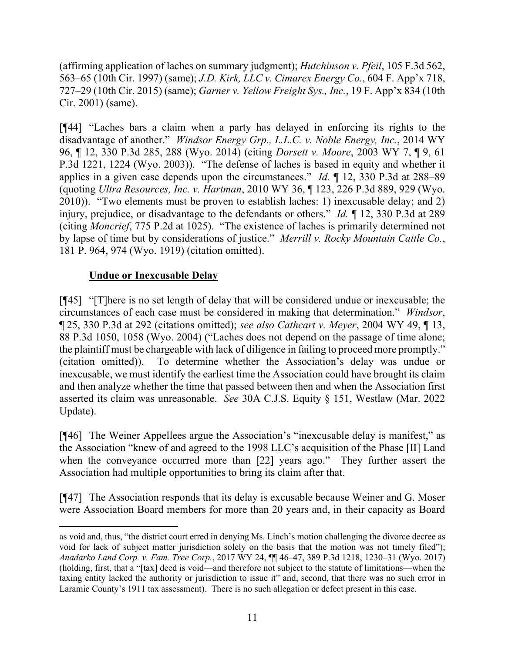(affirming application of laches on summary judgment); *Hutchinson v. Pfeil*, 105 F.3d 562, 563–65 (10th Cir. 1997) (same); *J.D. Kirk, LLC v. Cimarex Energy Co.*, 604 F. App'x 718, 727–29 (10th Cir. 2015) (same); *Garner v. Yellow Freight Sys., Inc.*, 19 F. App'x 834 (10th Cir. 2001) (same).

[¶44] "Laches bars a claim when a party has delayed in enforcing its rights to the disadvantage of another." *Windsor Energy Grp., L.L.C. v. Noble Energy, Inc.*, 2014 WY 96, ¶ 12, 330 P.3d 285, 288 (Wyo. 2014) (citing *Dorsett v. Moore*, 2003 WY 7, ¶ 9, 61 P.3d 1221, 1224 (Wyo. 2003)). "The defense of laches is based in equity and whether it applies in a given case depends upon the circumstances." *Id.* ¶ 12, 330 P.3d at 288–89 (quoting *Ultra Resources, Inc. v. Hartman*, 2010 WY 36, ¶ 123, 226 P.3d 889, 929 (Wyo. 2010)). "Two elements must be proven to establish laches: 1) inexcusable delay; and 2) injury, prejudice, or disadvantage to the defendants or others." *Id.* ¶ 12, 330 P.3d at 289 (citing *Moncrief*, 775 P.2d at 1025). "The existence of laches is primarily determined not by lapse of time but by considerations of justice." *Merrill v. Rocky Mountain Cattle Co.*, 181 P. 964, 974 (Wyo. 1919) (citation omitted).

# **Undue or Inexcusable Delay**

[¶45] "[T]here is no set length of delay that will be considered undue or inexcusable; the circumstances of each case must be considered in making that determination." *Windsor*, ¶ 25, 330 P.3d at 292 (citations omitted); *see also Cathcart v. Meyer*, 2004 WY 49, ¶ 13, 88 P.3d 1050, 1058 (Wyo. 2004) ("Laches does not depend on the passage of time alone; the plaintiff must be chargeable with lack of diligence in failing to proceed more promptly." (citation omitted)). To determine whether the Association's delay was undue or inexcusable, we must identify the earliest time the Association could have brought its claim and then analyze whether the time that passed between then and when the Association first asserted its claim was unreasonable. *See* 30A C.J.S. Equity § 151, Westlaw (Mar. 2022 Update).

[¶46] The Weiner Appellees argue the Association's "inexcusable delay is manifest," as the Association "knew of and agreed to the 1998 LLC's acquisition of the Phase [II] Land when the conveyance occurred more than [22] years ago." They further assert the Association had multiple opportunities to bring its claim after that.

[¶47] The Association responds that its delay is excusable because Weiner and G. Moser were Association Board members for more than 20 years and, in their capacity as Board

as void and, thus, "the district court erred in denying Ms. Linch's motion challenging the divorce decree as void for lack of subject matter jurisdiction solely on the basis that the motion was not timely filed"); *Anadarko Land Corp. v. Fam. Tree Corp.*, 2017 WY 24, ¶¶ 46–47, 389 P.3d 1218, 1230–31 (Wyo. 2017) (holding, first, that a "[tax] deed is void—and therefore not subject to the statute of limitations—when the taxing entity lacked the authority or jurisdiction to issue it" and, second, that there was no such error in Laramie County's 1911 tax assessment). There is no such allegation or defect present in this case.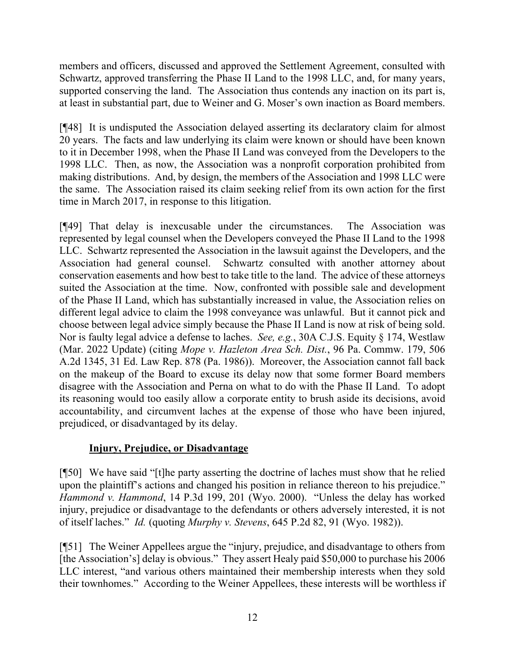members and officers, discussed and approved the Settlement Agreement, consulted with Schwartz, approved transferring the Phase II Land to the 1998 LLC, and, for many years, supported conserving the land. The Association thus contends any inaction on its part is, at least in substantial part, due to Weiner and G. Moser's own inaction as Board members.

[¶48] It is undisputed the Association delayed asserting its declaratory claim for almost 20 years. The facts and law underlying its claim were known or should have been known to it in December 1998, when the Phase II Land was conveyed from the Developers to the 1998 LLC. Then, as now, the Association was a nonprofit corporation prohibited from making distributions. And, by design, the members of the Association and 1998 LLC were the same. The Association raised its claim seeking relief from its own action for the first time in March 2017, in response to this litigation.

[¶49] That delay is inexcusable under the circumstances. The Association was represented by legal counsel when the Developers conveyed the Phase II Land to the 1998 LLC. Schwartz represented the Association in the lawsuit against the Developers, and the Association had general counsel. Schwartz consulted with another attorney about conservation easements and how best to take title to the land. The advice of these attorneys suited the Association at the time. Now, confronted with possible sale and development of the Phase II Land, which has substantially increased in value, the Association relies on different legal advice to claim the 1998 conveyance was unlawful. But it cannot pick and choose between legal advice simply because the Phase II Land is now at risk of being sold. Nor is faulty legal advice a defense to laches. *See, e.g.*, 30A C.J.S. Equity § 174, Westlaw (Mar. 2022 Update) (citing *Mope v. Hazleton Area Sch. Dist.*, 96 Pa. Commw. 179, 506 A.2d 1345, 31 Ed. Law Rep. 878 (Pa. 1986)). Moreover, the Association cannot fall back on the makeup of the Board to excuse its delay now that some former Board members disagree with the Association and Perna on what to do with the Phase II Land. To adopt its reasoning would too easily allow a corporate entity to brush aside its decisions, avoid accountability, and circumvent laches at the expense of those who have been injured, prejudiced, or disadvantaged by its delay.

# **Injury, Prejudice, or Disadvantage**

[¶50] We have said "[t]he party asserting the doctrine of laches must show that he relied upon the plaintiff's actions and changed his position in reliance thereon to his prejudice." *Hammond v. Hammond*, 14 P.3d 199, 201 (Wyo. 2000). "Unless the delay has worked injury, prejudice or disadvantage to the defendants or others adversely interested, it is not of itself laches." *Id.* (quoting *Murphy v. Stevens*, 645 P.2d 82, 91 (Wyo. 1982)).

[¶51] The Weiner Appellees argue the "injury, prejudice, and disadvantage to others from [the Association's] delay is obvious." They assert Healy paid \$50,000 to purchase his 2006 LLC interest, "and various others maintained their membership interests when they sold their townhomes." According to the Weiner Appellees, these interests will be worthless if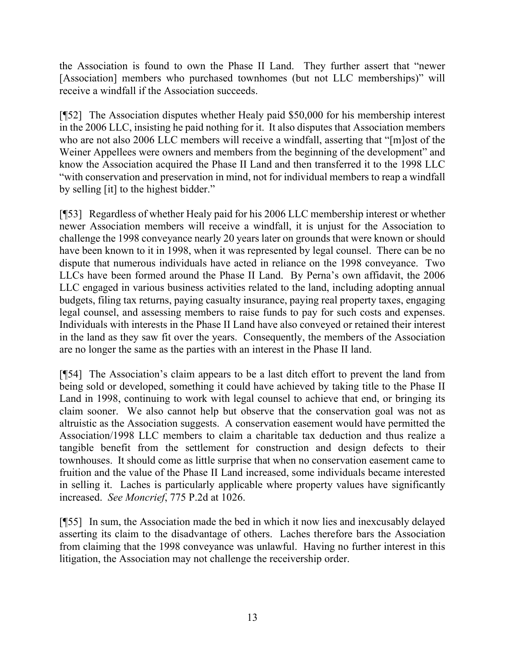the Association is found to own the Phase II Land. They further assert that "newer [Association] members who purchased townhomes (but not LLC memberships)" will receive a windfall if the Association succeeds.

[¶52] The Association disputes whether Healy paid \$50,000 for his membership interest in the 2006 LLC, insisting he paid nothing for it. It also disputes that Association members who are not also 2006 LLC members will receive a windfall, asserting that "[m]ost of the Weiner Appellees were owners and members from the beginning of the development" and know the Association acquired the Phase II Land and then transferred it to the 1998 LLC "with conservation and preservation in mind, not for individual members to reap a windfall by selling [it] to the highest bidder."

[¶53] Regardless of whether Healy paid for his 2006 LLC membership interest or whether newer Association members will receive a windfall, it is unjust for the Association to challenge the 1998 conveyance nearly 20 years later on grounds that were known or should have been known to it in 1998, when it was represented by legal counsel. There can be no dispute that numerous individuals have acted in reliance on the 1998 conveyance. Two LLCs have been formed around the Phase II Land. By Perna's own affidavit, the 2006 LLC engaged in various business activities related to the land, including adopting annual budgets, filing tax returns, paying casualty insurance, paying real property taxes, engaging legal counsel, and assessing members to raise funds to pay for such costs and expenses. Individuals with interests in the Phase II Land have also conveyed or retained their interest in the land as they saw fit over the years. Consequently, the members of the Association are no longer the same as the parties with an interest in the Phase II land.

[¶54] The Association's claim appears to be a last ditch effort to prevent the land from being sold or developed, something it could have achieved by taking title to the Phase II Land in 1998, continuing to work with legal counsel to achieve that end, or bringing its claim sooner. We also cannot help but observe that the conservation goal was not as altruistic as the Association suggests. A conservation easement would have permitted the Association/1998 LLC members to claim a charitable tax deduction and thus realize a tangible benefit from the settlement for construction and design defects to their townhouses. It should come as little surprise that when no conservation easement came to fruition and the value of the Phase II Land increased, some individuals became interested in selling it. Laches is particularly applicable where property values have significantly increased. *See Moncrief*, 775 P.2d at 1026.

[¶55] In sum, the Association made the bed in which it now lies and inexcusably delayed asserting its claim to the disadvantage of others. Laches therefore bars the Association from claiming that the 1998 conveyance was unlawful. Having no further interest in this litigation, the Association may not challenge the receivership order.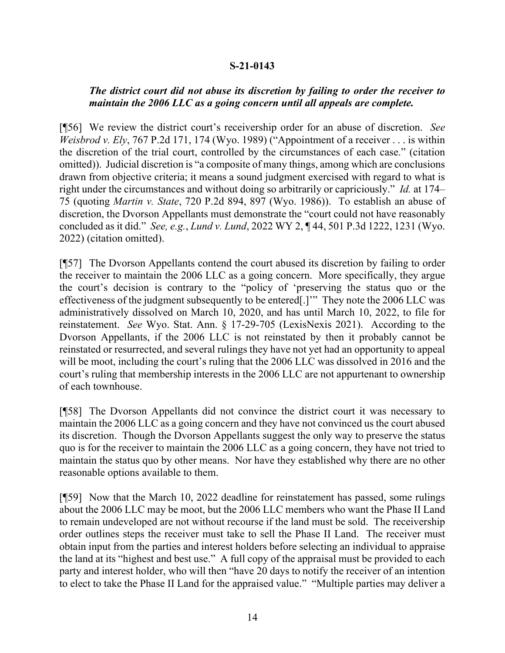#### **S-21-0143**

#### *The district court did not abuse its discretion by failing to order the receiver to maintain the 2006 LLC as a going concern until all appeals are complete.*

[¶56] We review the district court's receivership order for an abuse of discretion. *See Weisbrod v. Ely*, 767 P.2d 171, 174 (Wyo. 1989) ("Appointment of a receiver . . . is within the discretion of the trial court, controlled by the circumstances of each case." (citation omitted)). Judicial discretion is "a composite of many things, among which are conclusions drawn from objective criteria; it means a sound judgment exercised with regard to what is right under the circumstances and without doing so arbitrarily or capriciously." *Id.* at 174– 75 (quoting *Martin v. State*, 720 P.2d 894, 897 (Wyo. 1986)). To establish an abuse of discretion, the Dvorson Appellants must demonstrate the "court could not have reasonably concluded as it did." *See, e.g.*, *Lund v. Lund*, 2022 WY 2, ¶ 44, 501 P.3d 1222, 1231 (Wyo. 2022) (citation omitted).

[¶57] The Dvorson Appellants contend the court abused its discretion by failing to order the receiver to maintain the 2006 LLC as a going concern. More specifically, they argue the court's decision is contrary to the "policy of 'preserving the status quo or the effectiveness of the judgment subsequently to be entered[.]'" They note the 2006 LLC was administratively dissolved on March 10, 2020, and has until March 10, 2022, to file for reinstatement. *See* Wyo. Stat. Ann. § 17-29-705 (LexisNexis 2021). According to the Dvorson Appellants, if the 2006 LLC is not reinstated by then it probably cannot be reinstated or resurrected, and several rulings they have not yet had an opportunity to appeal will be moot, including the court's ruling that the 2006 LLC was dissolved in 2016 and the court's ruling that membership interests in the 2006 LLC are not appurtenant to ownership of each townhouse.

[¶58] The Dvorson Appellants did not convince the district court it was necessary to maintain the 2006 LLC as a going concern and they have not convinced us the court abused its discretion. Though the Dvorson Appellants suggest the only way to preserve the status quo is for the receiver to maintain the 2006 LLC as a going concern, they have not tried to maintain the status quo by other means. Nor have they established why there are no other reasonable options available to them.

[¶59] Now that the March 10, 2022 deadline for reinstatement has passed, some rulings about the 2006 LLC may be moot, but the 2006 LLC members who want the Phase II Land to remain undeveloped are not without recourse if the land must be sold. The receivership order outlines steps the receiver must take to sell the Phase II Land. The receiver must obtain input from the parties and interest holders before selecting an individual to appraise the land at its "highest and best use." A full copy of the appraisal must be provided to each party and interest holder, who will then "have 20 days to notify the receiver of an intention to elect to take the Phase II Land for the appraised value." "Multiple parties may deliver a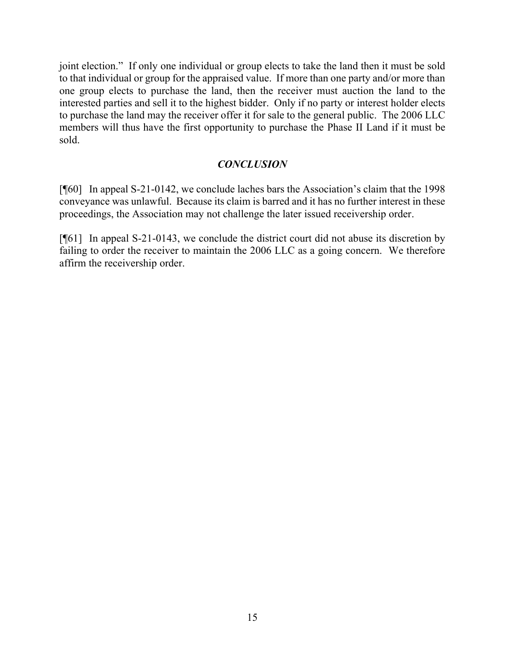joint election." If only one individual or group elects to take the land then it must be sold to that individual or group for the appraised value. If more than one party and/or more than one group elects to purchase the land, then the receiver must auction the land to the interested parties and sell it to the highest bidder. Only if no party or interest holder elects to purchase the land may the receiver offer it for sale to the general public. The 2006 LLC members will thus have the first opportunity to purchase the Phase II Land if it must be sold.

## *CONCLUSION*

[¶60] In appeal S-21-0142, we conclude laches bars the Association's claim that the 1998 conveyance was unlawful. Because its claim is barred and it has no further interest in these proceedings, the Association may not challenge the later issued receivership order.

[¶61] In appeal S-21-0143, we conclude the district court did not abuse its discretion by failing to order the receiver to maintain the 2006 LLC as a going concern. We therefore affirm the receivership order.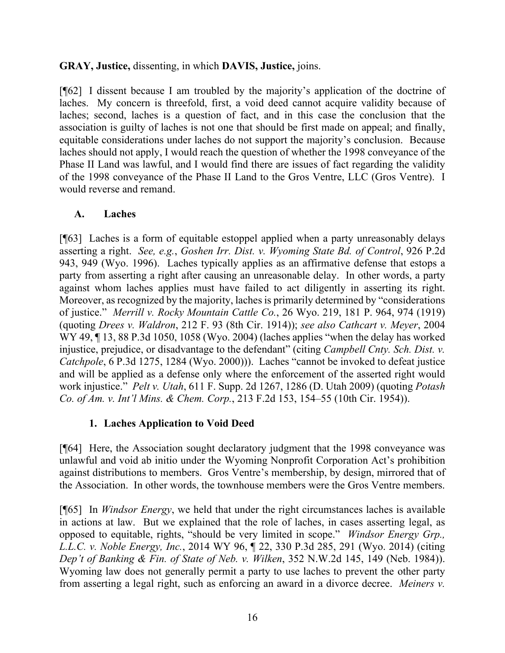## **GRAY, Justice,** dissenting, in which **DAVIS, Justice,** joins.

[¶62] I dissent because I am troubled by the majority's application of the doctrine of laches. My concern is threefold, first, a void deed cannot acquire validity because of laches; second, laches is a question of fact, and in this case the conclusion that the association is guilty of laches is not one that should be first made on appeal; and finally, equitable considerations under laches do not support the majority's conclusion. Because laches should not apply, I would reach the question of whether the 1998 conveyance of the Phase II Land was lawful, and I would find there are issues of fact regarding the validity of the 1998 conveyance of the Phase II Land to the Gros Ventre, LLC (Gros Ventre). I would reverse and remand.

## **A. Laches**

[¶63] Laches is a form of equitable estoppel applied when a party unreasonably delays asserting a right. *See, e.g.*, *Goshen Irr. Dist. v. Wyoming State Bd. of Control*, 926 P.2d 943, 949 (Wyo. 1996). Laches typically applies as an affirmative defense that estops a party from asserting a right after causing an unreasonable delay. In other words, a party against whom laches applies must have failed to act diligently in asserting its right. Moreover, as recognized by the majority, laches is primarily determined by "considerations of justice." *Merrill v. Rocky Mountain Cattle Co.*, 26 Wyo. 219, 181 P. 964, 974 (1919) (quoting *Drees v. Waldron*, 212 F. 93 (8th Cir. 1914)); *see also Cathcart v. Meyer*, 2004 WY 49, ¶ 13, 88 P.3d 1050, 1058 (Wyo. 2004) (laches applies "when the delay has worked injustice, prejudice, or disadvantage to the defendant" (citing *Campbell Cnty. Sch. Dist. v. Catchpole*, 6 P.3d 1275, 1284 (Wyo. 2000))). Laches "cannot be invoked to defeat justice and will be applied as a defense only where the enforcement of the asserted right would work injustice." *Pelt v. Utah*, 611 F. Supp. 2d 1267, 1286 (D. Utah 2009) (quoting *Potash Co. of Am. v. Int'l Mins. & Chem. Corp.*, 213 F.2d 153, 154–55 (10th Cir. 1954)).

# **1. Laches Application to Void Deed**

[¶64] Here, the Association sought declaratory judgment that the 1998 conveyance was unlawful and void ab initio under the Wyoming Nonprofit Corporation Act's prohibition against distributions to members. Gros Ventre's membership, by design, mirrored that of the Association. In other words, the townhouse members were the Gros Ventre members.

[¶65] In *Windsor Energy*, we held that under the right circumstances laches is available in actions at law. But we explained that the role of laches, in cases asserting legal, as opposed to equitable, rights, "should be very limited in scope." *Windsor Energy Grp., L.L.C. v. Noble Energy, Inc.*, 2014 WY 96, ¶ 22, 330 P.3d 285, 291 (Wyo. 2014) (citing *Dep't of Banking & Fin. of State of Neb. v. Wilken*, 352 N.W.2d 145, 149 (Neb. 1984)). Wyoming law does not generally permit a party to use laches to prevent the other party from asserting a legal right, such as enforcing an award in a divorce decree. *Meiners v.*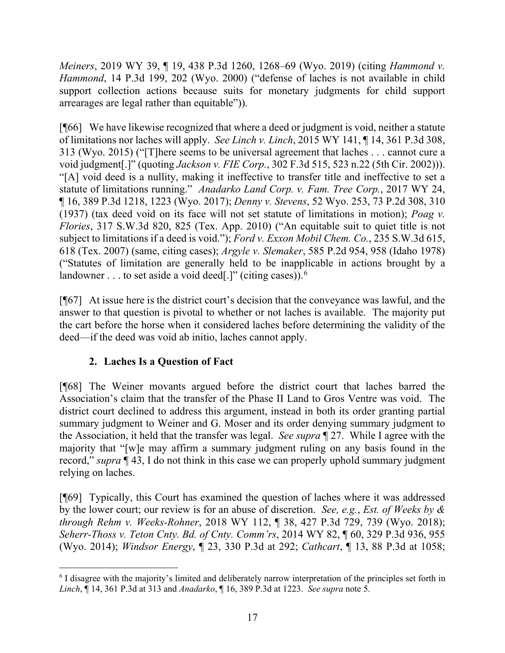*Meiners*, 2019 WY 39, ¶ 19, 438 P.3d 1260, 1268–69 (Wyo. 2019) (citing *Hammond v. Hammond*, 14 P.3d 199, 202 (Wyo. 2000) ("defense of laches is not available in child support collection actions because suits for monetary judgments for child support arrearages are legal rather than equitable")).

[¶66] We have likewise recognized that where a deed or judgment is void, neither a statute of limitations nor laches will apply. *See Linch v. Linch*, 2015 WY 141, ¶ 14, 361 P.3d 308, 313 (Wyo. 2015) ("[T]here seems to be universal agreement that laches . . . cannot cure a void judgment[.]" (quoting *Jackson v. FIE Corp.*, 302 F.3d 515, 523 n.22 (5th Cir. 2002))). "[A] void deed is a nullity, making it ineffective to transfer title and ineffective to set a statute of limitations running." *Anadarko Land Corp. v. Fam. Tree Corp.*, 2017 WY 24, ¶ 16, 389 P.3d 1218, 1223 (Wyo. 2017); *Denny v. Stevens*, 52 Wyo. 253, 73 P.2d 308, 310 (1937) (tax deed void on its face will not set statute of limitations in motion); *Poag v. Flories*, 317 S.W.3d 820, 825 (Tex. App. 2010) ("An equitable suit to quiet title is not subject to limitations if a deed is void."); *Ford v. Exxon Mobil Chem. Co.*, 235 S.W.3d 615, 618 (Tex. 2007) (same, citing cases); *Argyle v. Slemaker*, 585 P.2d 954, 958 (Idaho 1978) ("Statutes of limitation are generally held to be inapplicable in actions brought by a landowner  $\dots$  to set aside a void deed[.]" (citing cases)).<sup>[6](#page-19-0)</sup>

[¶67] At issue here is the district court's decision that the conveyance was lawful, and the answer to that question is pivotal to whether or not laches is available. The majority put the cart before the horse when it considered laches before determining the validity of the deed—if the deed was void ab initio, laches cannot apply.

# **2. Laches Is a Question of Fact**

[¶68] The Weiner movants argued before the district court that laches barred the Association's claim that the transfer of the Phase II Land to Gros Ventre was void. The district court declined to address this argument, instead in both its order granting partial summary judgment to Weiner and G. Moser and its order denying summary judgment to the Association, it held that the transfer was legal. *See supra* ¶ 27. While I agree with the majority that "[w]e may affirm a summary judgment ruling on any basis found in the record," *supra* ¶ 43, I do not think in this case we can properly uphold summary judgment relying on laches.

[¶69] Typically, this Court has examined the question of laches where it was addressed by the lower court; our review is for an abuse of discretion. *See, e.g.*, *Est. of Weeks by & through Rehm v. Weeks-Rohner*, 2018 WY 112, ¶ 38, 427 P.3d 729, 739 (Wyo. 2018); *Seherr-Thoss v. Teton Cnty. Bd. of Cnty. Comm'rs*, 2014 WY 82, ¶ 60, 329 P.3d 936, 955 (Wyo. 2014); *Windsor Energy*, ¶ 23, 330 P.3d at 292; *Cathcart*, ¶ 13, 88 P.3d at 1058;

<span id="page-19-0"></span><sup>6</sup> I disagree with the majority's limited and deliberately narrow interpretation of the principles set forth in *Linch*, ¶ 14, 361 P.3d at 313 and *Anadarko*, ¶ 16, 389 P.3d at 1223. *See supra* note 5.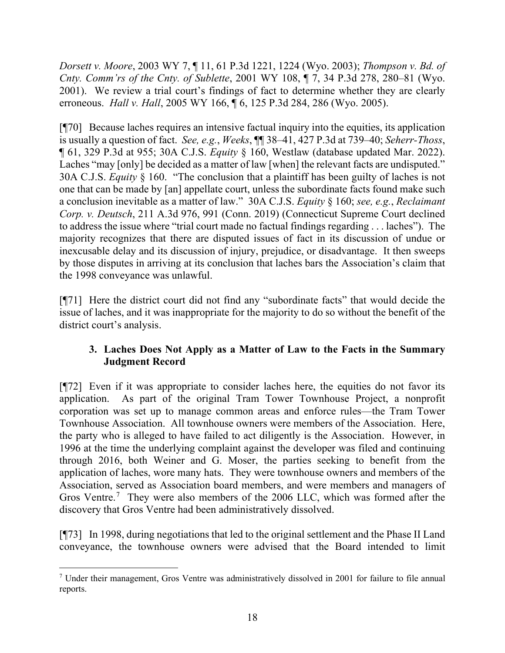*Dorsett v. Moore*, 2003 WY 7, ¶ 11, 61 P.3d 1221, 1224 (Wyo. 2003); *Thompson v. Bd. of Cnty. Comm'rs of the Cnty. of Sublette*, 2001 WY 108, ¶ 7, 34 P.3d 278, 280–81 (Wyo. 2001). We review a trial court's findings of fact to determine whether they are clearly erroneous. *Hall v. Hall*, 2005 WY 166, ¶ 6, 125 P.3d 284, 286 (Wyo. 2005).

[¶70] Because laches requires an intensive factual inquiry into the equities, its application is usually a question of fact. *See, e.g.*, *Weeks*, ¶¶ 38–41, 427 P.3d at 739–40; *Seherr-Thoss*, ¶ 61, 329 P.3d at 955; 30A C.J.S. *Equity* § 160, Westlaw (database updated Mar. 2022). Laches "may [only] be decided as a matter of law [when] the relevant facts are undisputed." 30A C.J.S. *Equity* § 160. "The conclusion that a plaintiff has been guilty of laches is not one that can be made by [an] appellate court, unless the subordinate facts found make such a conclusion inevitable as a matter of law." 30A C.J.S. *Equity* § 160; *see, e.g.*, *Reclaimant Corp. v. Deutsch*, 211 A.3d 976, 991 (Conn. 2019) (Connecticut Supreme Court declined to address the issue where "trial court made no factual findings regarding . . . laches"). The majority recognizes that there are disputed issues of fact in its discussion of undue or inexcusable delay and its discussion of injury, prejudice, or disadvantage. It then sweeps by those disputes in arriving at its conclusion that laches bars the Association's claim that the 1998 conveyance was unlawful.

[¶71] Here the district court did not find any "subordinate facts" that would decide the issue of laches, and it was inappropriate for the majority to do so without the benefit of the district court's analysis.

# **3. Laches Does Not Apply as a Matter of Law to the Facts in the Summary Judgment Record**

[¶72] Even if it was appropriate to consider laches here, the equities do not favor its application. As part of the original Tram Tower Townhouse Project, a nonprofit corporation was set up to manage common areas and enforce rules—the Tram Tower Townhouse Association. All townhouse owners were members of the Association. Here, the party who is alleged to have failed to act diligently is the Association. However, in 1996 at the time the underlying complaint against the developer was filed and continuing through 2016, both Weiner and G. Moser, the parties seeking to benefit from the application of laches, wore many hats. They were townhouse owners and members of the Association, served as Association board members, and were members and managers of Gros Ventre.<sup>[7](#page-20-0)</sup> They were also members of the 2006 LLC, which was formed after the discovery that Gros Ventre had been administratively dissolved.

[¶73] In 1998, during negotiations that led to the original settlement and the Phase II Land conveyance, the townhouse owners were advised that the Board intended to limit

<span id="page-20-0"></span><sup>7</sup> Under their management, Gros Ventre was administratively dissolved in 2001 for failure to file annual reports.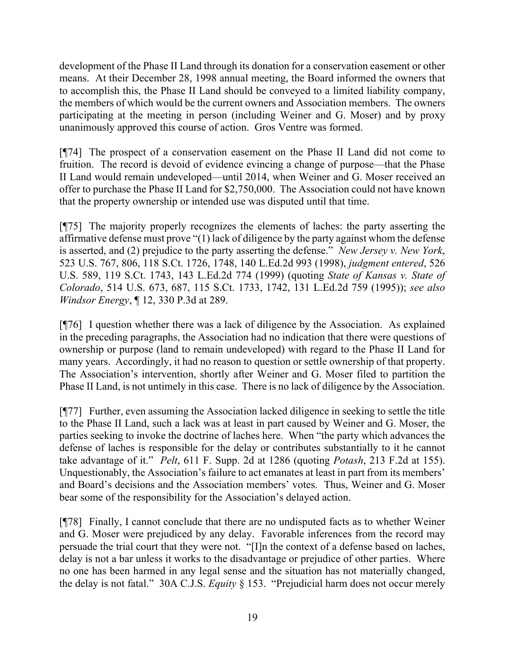development of the Phase II Land through its donation for a conservation easement or other means. At their December 28, 1998 annual meeting, the Board informed the owners that to accomplish this, the Phase II Land should be conveyed to a limited liability company, the members of which would be the current owners and Association members. The owners participating at the meeting in person (including Weiner and G. Moser) and by proxy unanimously approved this course of action. Gros Ventre was formed.

[¶74] The prospect of a conservation easement on the Phase II Land did not come to fruition. The record is devoid of evidence evincing a change of purpose—that the Phase II Land would remain undeveloped—until 2014, when Weiner and G. Moser received an offer to purchase the Phase II Land for \$2,750,000. The Association could not have known that the property ownership or intended use was disputed until that time.

[¶75] The majority properly recognizes the elements of laches: the party asserting the affirmative defense must prove "(1) lack of diligence by the party against whom the defense is asserted, and (2) prejudice to the party asserting the defense." *New Jersey v. New York*, 523 U.S. 767, 806, 118 S.Ct. 1726, 1748, 140 L.Ed.2d 993 (1998), *judgment entered*, 526 U.S. 589, 119 S.Ct. 1743, 143 L.Ed.2d 774 (1999) (quoting *State of Kansas v. State of Colorado*, 514 U.S. 673, 687, 115 S.Ct. 1733, 1742, 131 L.Ed.2d 759 (1995)); *see also Windsor Energy*, ¶ 12, 330 P.3d at 289.

[¶76] I question whether there was a lack of diligence by the Association. As explained in the preceding paragraphs, the Association had no indication that there were questions of ownership or purpose (land to remain undeveloped) with regard to the Phase II Land for many years. Accordingly, it had no reason to question or settle ownership of that property. The Association's intervention, shortly after Weiner and G. Moser filed to partition the Phase II Land, is not untimely in this case. There is no lack of diligence by the Association.

[¶77] Further, even assuming the Association lacked diligence in seeking to settle the title to the Phase II Land, such a lack was at least in part caused by Weiner and G. Moser, the parties seeking to invoke the doctrine of laches here. When "the party which advances the defense of laches is responsible for the delay or contributes substantially to it he cannot take advantage of it." *Pelt*, 611 F. Supp. 2d at 1286 (quoting *Potash*, 213 F.2d at 155). Unquestionably, the Association's failure to act emanates at least in part from its members' and Board's decisions and the Association members' votes. Thus, Weiner and G. Moser bear some of the responsibility for the Association's delayed action.

[¶78] Finally, I cannot conclude that there are no undisputed facts as to whether Weiner and G. Moser were prejudiced by any delay. Favorable inferences from the record may persuade the trial court that they were not. "[I]n the context of a defense based on laches, delay is not a bar unless it works to the disadvantage or prejudice of other parties. Where no one has been harmed in any legal sense and the situation has not materially changed, the delay is not fatal." 30A C.J.S. *Equity* § 153. "Prejudicial harm does not occur merely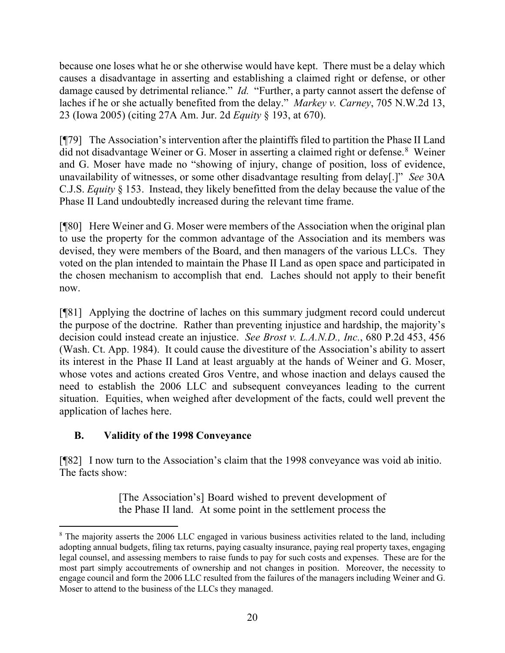because one loses what he or she otherwise would have kept. There must be a delay which causes a disadvantage in asserting and establishing a claimed right or defense, or other damage caused by detrimental reliance." *Id.* "Further, a party cannot assert the defense of laches if he or she actually benefited from the delay." *Markey v. Carney*, 705 N.W.2d 13, 23 (Iowa 2005) (citing 27A Am. Jur. 2d *Equity* § 193, at 670).

[¶79] The Association's intervention after the plaintiffs filed to partition the Phase II Land did not disadvantage Weiner or G. Moser in asserting a claimed right or defense.<sup>[8](#page-22-0)</sup> Weiner and G. Moser have made no "showing of injury, change of position, loss of evidence, unavailability of witnesses, or some other disadvantage resulting from delay[.]" *See* 30A C.J.S. *Equity* § 153. Instead, they likely benefitted from the delay because the value of the Phase II Land undoubtedly increased during the relevant time frame.

[¶80] Here Weiner and G. Moser were members of the Association when the original plan to use the property for the common advantage of the Association and its members was devised, they were members of the Board, and then managers of the various LLCs. They voted on the plan intended to maintain the Phase II Land as open space and participated in the chosen mechanism to accomplish that end. Laches should not apply to their benefit now.

[¶81] Applying the doctrine of laches on this summary judgment record could undercut the purpose of the doctrine. Rather than preventing injustice and hardship, the majority's decision could instead create an injustice. *See Brost v. L.A.N.D., Inc.*, 680 P.2d 453, 456 (Wash. Ct. App. 1984). It could cause the divestiture of the Association's ability to assert its interest in the Phase II Land at least arguably at the hands of Weiner and G. Moser, whose votes and actions created Gros Ventre, and whose inaction and delays caused the need to establish the 2006 LLC and subsequent conveyances leading to the current situation. Equities, when weighed after development of the facts, could well prevent the application of laches here.

# **B. Validity of the 1998 Conveyance**

[¶82] I now turn to the Association's claim that the 1998 conveyance was void ab initio. The facts show:

> [The Association's] Board wished to prevent development of the Phase II land. At some point in the settlement process the

<span id="page-22-0"></span><sup>&</sup>lt;sup>8</sup> The majority asserts the 2006 LLC engaged in various business activities related to the land, including adopting annual budgets, filing tax returns, paying casualty insurance, paying real property taxes, engaging legal counsel, and assessing members to raise funds to pay for such costs and expenses. These are for the most part simply accoutrements of ownership and not changes in position. Moreover, the necessity to engage council and form the 2006 LLC resulted from the failures of the managers including Weiner and G. Moser to attend to the business of the LLCs they managed.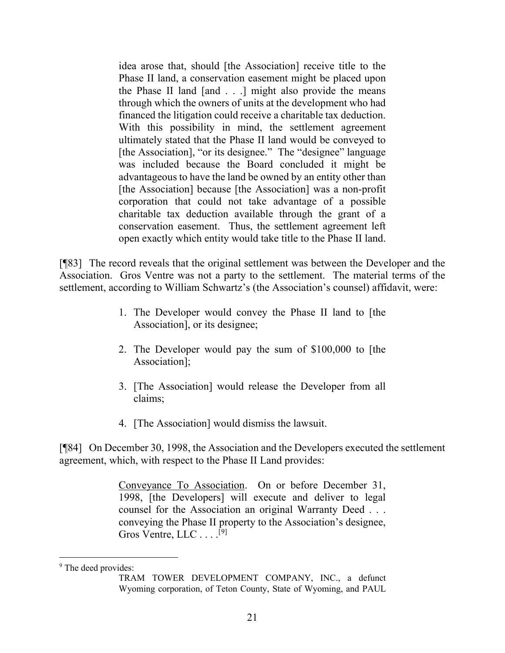idea arose that, should [the Association] receive title to the Phase II land, a conservation easement might be placed upon the Phase II land [and . . .] might also provide the means through which the owners of units at the development who had financed the litigation could receive a charitable tax deduction. With this possibility in mind, the settlement agreement ultimately stated that the Phase II land would be conveyed to [the Association], "or its designee." The "designee" language was included because the Board concluded it might be advantageous to have the land be owned by an entity other than [the Association] because [the Association] was a non-profit corporation that could not take advantage of a possible charitable tax deduction available through the grant of a conservation easement. Thus, the settlement agreement left open exactly which entity would take title to the Phase II land.

[¶83] The record reveals that the original settlement was between the Developer and the Association. Gros Ventre was not a party to the settlement. The material terms of the settlement, according to William Schwartz's (the Association's counsel) affidavit, were:

- 1. The Developer would convey the Phase II land to [the Association], or its designee;
- 2. The Developer would pay the sum of \$100,000 to [the Association];
- 3. [The Association] would release the Developer from all claims;
- 4. [The Association] would dismiss the lawsuit.

[¶84] On December 30, 1998, the Association and the Developers executed the settlement agreement, which, with respect to the Phase II Land provides:

> Conveyance To Association. On or before December 31, 1998, [the Developers] will execute and deliver to legal counsel for the Association an original Warranty Deed . . . conveying the Phase II property to the Association's designee, Gros Ventre, LLC . . . .<sup>[[9\]](#page-23-0)</sup>

<span id="page-23-0"></span><sup>&</sup>lt;sup>9</sup> The deed provides:

TRAM TOWER DEVELOPMENT COMPANY, INC., a defunct Wyoming corporation, of Teton County, State of Wyoming, and PAUL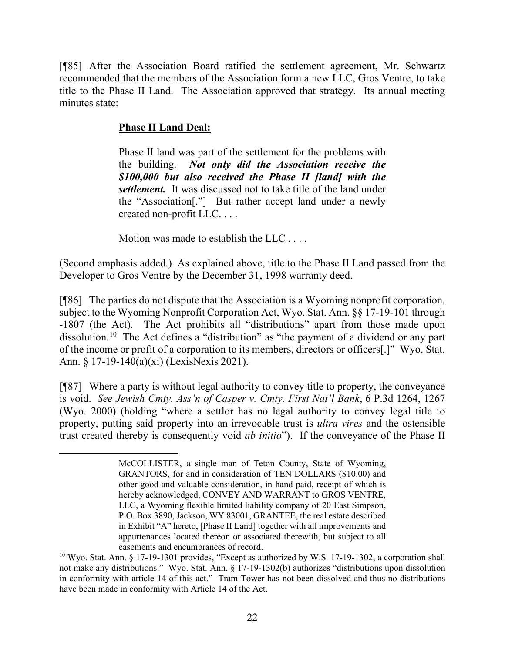[¶85] After the Association Board ratified the settlement agreement, Mr. Schwartz recommended that the members of the Association form a new LLC, Gros Ventre, to take title to the Phase II Land. The Association approved that strategy. Its annual meeting minutes state:

# **Phase II Land Deal:**

Phase II land was part of the settlement for the problems with the building. *Not only did the Association receive the \$100,000 but also received the Phase II [land] with the settlement.* It was discussed not to take title of the land under the "Association[."] But rather accept land under a newly created non-profit LLC. . . .

Motion was made to establish the LLC . . . .

(Second emphasis added.) As explained above, title to the Phase II Land passed from the Developer to Gros Ventre by the December 31, 1998 warranty deed.

[¶86] The parties do not dispute that the Association is a Wyoming nonprofit corporation, subject to the Wyoming Nonprofit Corporation Act, Wyo. Stat. Ann. §§ 17-19-101 through -1807 (the Act). The Act prohibits all "distributions" apart from those made upon dissolution.<sup>[10](#page-24-0)</sup> The Act defines a "distribution" as "the payment of a dividend or any part of the income or profit of a corporation to its members, directors or officers[.]" Wyo. Stat. Ann. § 17-19-140(a)(xi) (LexisNexis 2021).

[¶87] Where a party is without legal authority to convey title to property, the conveyance is void. *See Jewish Cmty. Ass'n of Casper v. Cmty. First Nat'l Bank*, 6 P.3d 1264, 1267 (Wyo. 2000) (holding "where a settlor has no legal authority to convey legal title to property, putting said property into an irrevocable trust is *ultra vires* and the ostensible trust created thereby is consequently void *ab initio*"). If the conveyance of the Phase II

McCOLLISTER, a single man of Teton County, State of Wyoming, GRANTORS, for and in consideration of TEN DOLLARS (\$10.00) and other good and valuable consideration, in hand paid, receipt of which is hereby acknowledged, CONVEY AND WARRANT to GROS VENTRE, LLC, a Wyoming flexible limited liability company of 20 East Simpson, P.O. Box 3890, Jackson, WY 83001, GRANTEE, the real estate described in Exhibit "A" hereto, [Phase II Land] together with all improvements and appurtenances located thereon or associated therewith, but subject to all easements and encumbrances of record.

<span id="page-24-0"></span><sup>&</sup>lt;sup>10</sup> Wyo. Stat. Ann. § 17-19-1301 provides, "Except as authorized by W.S. 17-19-1302, a corporation shall not make any distributions." Wyo. Stat. Ann. § 17-19-1302(b) authorizes "distributions upon dissolution in conformity with article 14 of this act." Tram Tower has not been dissolved and thus no distributions have been made in conformity with Article 14 of the Act.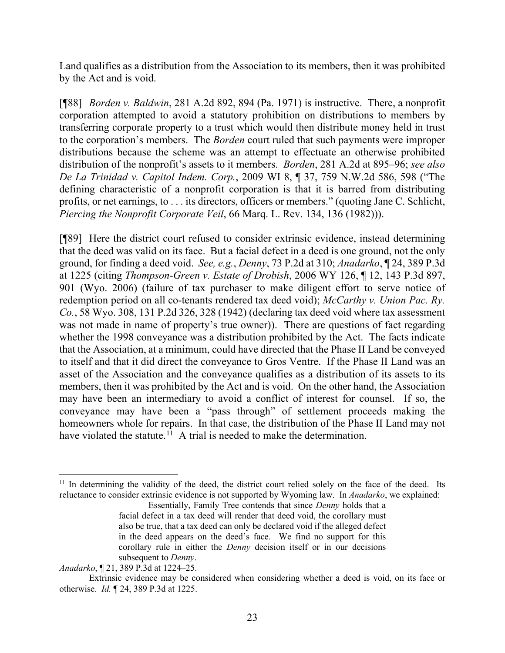Land qualifies as a distribution from the Association to its members, then it was prohibited by the Act and is void.

[¶88] *Borden v. Baldwin*, 281 A.2d 892, 894 (Pa. 1971) is instructive. There, a nonprofit corporation attempted to avoid a statutory prohibition on distributions to members by transferring corporate property to a trust which would then distribute money held in trust to the corporation's members. The *Borden* court ruled that such payments were improper distributions because the scheme was an attempt to effectuate an otherwise prohibited distribution of the nonprofit's assets to it members. *Borden*, 281 A.2d at 895–96; *see also De La Trinidad v. Capitol Indem. Corp.*, 2009 WI 8, ¶ 37, 759 N.W.2d 586, 598 ("The defining characteristic of a nonprofit corporation is that it is barred from distributing profits, or net earnings, to . . . its directors, officers or members." (quoting Jane C. Schlicht, *Piercing the Nonprofit Corporate Veil*, 66 Marq. L. Rev. 134, 136 (1982))).

[¶89] Here the district court refused to consider extrinsic evidence, instead determining that the deed was valid on its face. But a facial defect in a deed is one ground, not the only ground, for finding a deed void. *See, e.g.*, *Denny*, 73 P.2d at 310; *Anadarko*, ¶ 24, 389 P.3d at 1225 (citing *Thompson-Green v. Estate of Drobish*, 2006 WY 126, ¶ 12, 143 P.3d 897, 901 (Wyo. 2006) (failure of tax purchaser to make diligent effort to serve notice of redemption period on all co-tenants rendered tax deed void); *McCarthy v. Union Pac. Ry. Co.*, 58 Wyo. 308, 131 P.2d 326, 328 (1942) (declaring tax deed void where tax assessment was not made in name of property's true owner)). There are questions of fact regarding whether the 1998 conveyance was a distribution prohibited by the Act. The facts indicate that the Association, at a minimum, could have directed that the Phase II Land be conveyed to itself and that it did direct the conveyance to Gros Ventre. If the Phase II Land was an asset of the Association and the conveyance qualifies as a distribution of its assets to its members, then it was prohibited by the Act and is void. On the other hand, the Association may have been an intermediary to avoid a conflict of interest for counsel. If so, the conveyance may have been a "pass through" of settlement proceeds making the homeowners whole for repairs. In that case, the distribution of the Phase II Land may not have violated the statute.<sup>[11](#page-25-0)</sup> A trial is needed to make the determination.

<span id="page-25-0"></span><sup>&</sup>lt;sup>11</sup> In determining the validity of the deed, the district court relied solely on the face of the deed. Its reluctance to consider extrinsic evidence is not supported by Wyoming law. In *Anadarko*, we explained:

Essentially, Family Tree contends that since *Denny* holds that a facial defect in a tax deed will render that deed void, the corollary must also be true, that a tax deed can only be declared void if the alleged defect in the deed appears on the deed's face. We find no support for this corollary rule in either the *Denny* decision itself or in our decisions subsequent to *Denny*.

*Anadarko*, ¶ 21, 389 P.3d at 1224–25.

Extrinsic evidence may be considered when considering whether a deed is void, on its face or otherwise. *Id.* ¶ 24, 389 P.3d at 1225.